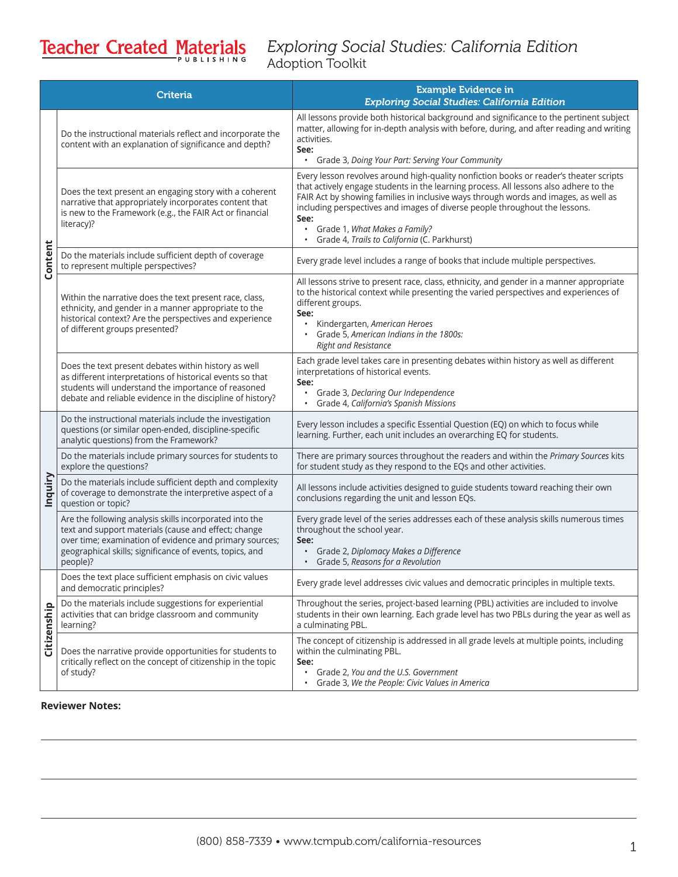# Teacher Created Materials

### *Exploring Social Studies: California Edition* Adoption Toolkit

|             | <b>Criteria</b>                                                                                                                                                                                                                                    | <b>Example Evidence in</b><br><b>Exploring Social Studies: California Edition</b>                                                                                                                                                                                                                                                                                                                                                                                        |
|-------------|----------------------------------------------------------------------------------------------------------------------------------------------------------------------------------------------------------------------------------------------------|--------------------------------------------------------------------------------------------------------------------------------------------------------------------------------------------------------------------------------------------------------------------------------------------------------------------------------------------------------------------------------------------------------------------------------------------------------------------------|
| Content     | Do the instructional materials reflect and incorporate the<br>content with an explanation of significance and depth?                                                                                                                               | All lessons provide both historical background and significance to the pertinent subject<br>matter, allowing for in-depth analysis with before, during, and after reading and writing<br>activities.<br>See:<br>Grade 3, Doing Your Part: Serving Your Community<br>$\bullet$                                                                                                                                                                                            |
|             | Does the text present an engaging story with a coherent<br>narrative that appropriately incorporates content that<br>is new to the Framework (e.g., the FAIR Act or financial<br>literacy)?                                                        | Every lesson revolves around high-quality nonfiction books or reader's theater scripts<br>that actively engage students in the learning process. All lessons also adhere to the<br>FAIR Act by showing families in inclusive ways through words and images, as well as<br>including perspectives and images of diverse people throughout the lessons.<br>See:<br>Grade 1, What Makes a Family?<br>$\bullet$<br>Grade 4, Trails to California (C. Parkhurst)<br>$\bullet$ |
|             | Do the materials include sufficient depth of coverage<br>to represent multiple perspectives?                                                                                                                                                       | Every grade level includes a range of books that include multiple perspectives.                                                                                                                                                                                                                                                                                                                                                                                          |
|             | Within the narrative does the text present race, class,<br>ethnicity, and gender in a manner appropriate to the<br>historical context? Are the perspectives and experience<br>of different groups presented?                                       | All lessons strive to present race, class, ethnicity, and gender in a manner appropriate<br>to the historical context while presenting the varied perspectives and experiences of<br>different groups.<br>See:<br>Kindergarten, American Heroes<br>Grade 5, American Indians in the 1800s:<br><b>Right and Resistance</b>                                                                                                                                                |
|             | Does the text present debates within history as well<br>as different interpretations of historical events so that<br>students will understand the importance of reasoned<br>debate and reliable evidence in the discipline of history?             | Each grade level takes care in presenting debates within history as well as different<br>interpretations of historical events.<br>See:<br>Grade 3, Declaring Our Independence<br>Grade 4, California's Spanish Missions<br>$\bullet$                                                                                                                                                                                                                                     |
| Inquiry     | Do the instructional materials include the investigation<br>questions (or similar open-ended, discipline-specific<br>analytic questions) from the Framework?                                                                                       | Every lesson includes a specific Essential Question (EQ) on which to focus while<br>learning. Further, each unit includes an overarching EQ for students.                                                                                                                                                                                                                                                                                                                |
|             | Do the materials include primary sources for students to<br>explore the questions?                                                                                                                                                                 | There are primary sources throughout the readers and within the Primary Sources kits<br>for student study as they respond to the EQs and other activities.                                                                                                                                                                                                                                                                                                               |
|             | Do the materials include sufficient depth and complexity<br>of coverage to demonstrate the interpretive aspect of a<br>question or topic?                                                                                                          | All lessons include activities designed to guide students toward reaching their own<br>conclusions regarding the unit and lesson EQs.                                                                                                                                                                                                                                                                                                                                    |
|             | Are the following analysis skills incorporated into the<br>text and support materials (cause and effect; change<br>over time; examination of evidence and primary sources;<br>geographical skills; significance of events, topics, and<br>people)? | Every grade level of the series addresses each of these analysis skills numerous times<br>throughout the school year.<br>See:<br>Grade 2, Diplomacy Makes a Difference<br>$\bullet$<br>Grade 5, Reasons for a Revolution                                                                                                                                                                                                                                                 |
| Citizenship | Does the text place sufficient emphasis on civic values<br>and democratic principles?                                                                                                                                                              | Every grade level addresses civic values and democratic principles in multiple texts.                                                                                                                                                                                                                                                                                                                                                                                    |
|             | Do the materials include suggestions for experiential<br>activities that can bridge classroom and community<br>learning?                                                                                                                           | Throughout the series, project-based learning (PBL) activities are included to involve<br>students in their own learning. Each grade level has two PBLs during the year as well as<br>a culminating PBL.                                                                                                                                                                                                                                                                 |
|             | Does the narrative provide opportunities for students to<br>critically reflect on the concept of citizenship in the topic<br>of study?                                                                                                             | The concept of citizenship is addressed in all grade levels at multiple points, including<br>within the culminating PBL.<br>See:<br>Grade 2, You and the U.S. Government<br>$\bullet$<br>Grade 3, We the People: Civic Values in America<br>$\bullet$                                                                                                                                                                                                                    |

#### **Reviewer Notes:**